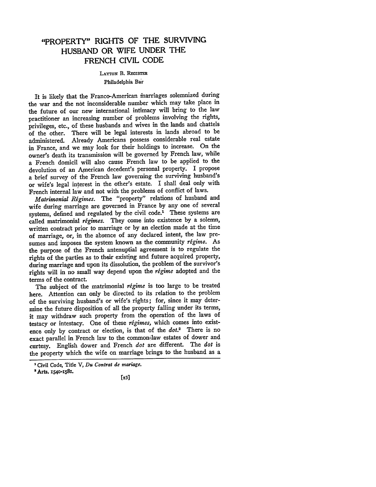## "PROPERTY" RIGHTS OF THE **SURVIVING HUSBAND** OR WIFE **UNDER** THE FRENCH CIVIL **CODE**

## **LAYTON B. REGISTER**

## Philadelphia Bar

It is likely that the Franco-American marriages solemnized during the war and the not inconsiderable number which may take place in the future of our new international intimacy will bring to the law practitioner an increasing number of problems involving the rights, privileges, etc., of these husbands and wives in the lands and chattels of the other. There will be legal interests in lands abroad to be administered. Already Americans possess considerable real estate in France, and we may look for their holdings to increase. On the owner's death its transmission will be governed by French law, while a French domicil will also cause French law to be applied to the devolution of an American decedent's personal property. I propose a brief survey of the French law governing the surviving husband's or wife's legal interest in the other's estate. I shall deal only with French internal law and not with the problems of conflict of laws.

*Matrimonial Rigimes.* The "property" relations of husband and wife during marriage are governed in France by any one of several systems, defined and regulated by the civil code.' These systems are called matrimonial *rigimes.* They come into existence by a solemn, written contract prior to marriage or by an election made at the time of marriage, or, in the absence of any declared intent, the law presumes and imposes the system known as the community *rigime.* As the purpose of the French antenuptial agreement is to regulate the rights of the parties as to their existing and future acquired property, during marriage and upon its dissolution, the problem of the survivor's rights will in no small way depend upon the *rigime* adopted and the terms of the contract.

The subject of the matrimonial *rigime* is too large to be treated here. Attention can only be directed to its relation to the problem of the surviving husband's or wife's rights; for, since it may determine the future disposition of all the property falling under its terms, it may withdraw such property from the operation of the laws of testacy or intestacy. One of these *régimes*, which comes into existence only by contract or election, is that of the *dot.2* There is no exact parallel in French law to the common-law estates of dower and curtesy. English dower and French *dot* are different. The *dot* is the property which the wife on marriage brings to the husband as a

**Civil** Code, Title V, *Du Contrat de mariage.*

**Arts. 154o-1581.**

 $[23]$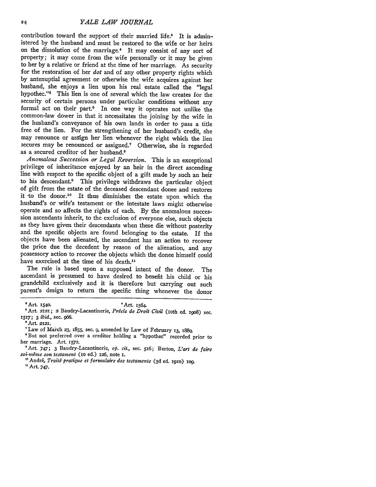contribution toward the support of their married life.<sup>8</sup> It is administered **by** the husband and must be restored to the wife or her heirs on the dissolution of the marriage.4 It may consist of any sort of property; it may come from the wife personally or it may be given to her **by** a relative or friend at the time of her marriage. As security for the restoration of her *dot* and of any other property rights which **by** antenuptial agreement or otherwise the wife acquires against her husband, she enjoys a lien upon his real estate called the "legal hypothec."<sup>5</sup> This lien is one of several which the law creates for the security of certain persons under particular conditions without any formal act on their part.<sup>6</sup> In one way it operates not unlike the common-law dower in that it necessitates the joining **by** the wife in the husband's conveyance of his own lands in order to pass a title free of the lien. For the strengthening of her husband's credit, she may renounce or assign her lien whenever the right which the lien secures may be renounced or assigned.<sup>7</sup> Otherwise, she is regarded as a secured creditor of her husband.<sup>8</sup>

*Anomalous Succession or Legal Reversion.* This is an exceptional privilege of inheritance enjoyed **by** an heir in the direct ascending line with respect to the specific object of a gift made **by** such an heir to his descendant.<sup>9</sup> This privilege withdraws the particular object of gift from the estate of the deceased descendant donee and restores it to the donor.<sup>10</sup> It thus diminishes the estate upon which the husband's or wife's testament or the intestate laws might otherwise operate and so affects the rights of each. **By** the anomalous succession ascendants inherit, to the exclusion of everyone else, such objects as they have given their descendants when these die without posterity and the specific objects are found belonging to the estate. If the objects have been alienated, the ascendant has an action to recover the price due the decedent by reason of the alienation, and any possessory action to recover the objects which the donee himself could have exercised at the time of his death.<sup>11</sup>

The rule is based upon a supposed intent of the donor. The ascendant is presumed to have desired to benefit his child or his grandchild exclusively and it is therefore but carrying out such parent's design to return the specific thing whenever the donor

'But not preferred over a creditor holding a "hypothec" recorded prior to her marriage. Art. **1572.**

**<sup>3</sup>**Art. **1540.** 'Art. 1564.

<sup>&</sup>lt;sup>5</sup> Art. 2121; 2 Baudry-Lacantinerie, *Précis de Droit Civil* (10th ed. 1908) sec. **1517;** 3 *ibid.,* **sec.** *966.*

**<sup>\*</sup>Art. 2121.**

Law of March **23, 855,** sec. **9,** amended **by** Law of February 13, i88o.

<sup>&#</sup>x27;Art. 747; 3 Baudry-Lacantinerie, *op. cit.,* sec. 516; Berton, *L'art de faire soi-meme son testament* **(IO** ed.) 126, note **i.**

<sup>&</sup>lt;sup>10</sup> André, *Traité pratique et formulaire des testaments* (3d ed. 1910) 109.<br><sup>11</sup> Art. 747.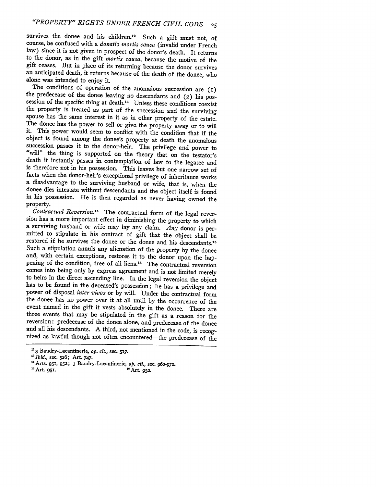survives the donee and his children.<sup>12</sup> Such a gift must not, of course, be confused with a *donatio mortis causa* (invalid under French law) since it is not given in prospect of the donor's death. It returns to the donor, as in the gift *mortis causa,* because the motive of the gift ceases. But in place of its returning because the donor survives an anticipated death, it returns because of the death of the donee, who alone was intended to enjoy it.<br>The conditions of operation of the anomalous succession are (1)

the predecease of the donee leaving no descendants and (2) his possession of the specific thing at death.<sup>13</sup> Unless these conditions coexist the property is treated as part of the succession and the surviving spouse has the same interest in it as in other property of the estate. The donee has the power to sell or give the property away or to will it. This power would seem to conflict with the condition that if the object is found among the donee's property at death the anomalous succession passes it to the donor-heir. The privilege and power to "will" the thing is supported on the theory that on the testator's death it instantly passes in contemplation of law to the legatee and is therefore not in his possession. This leaves but one narrow set of facts when the donor-heir's exceptional privilege of inheritance works a disadvantage to the surviving husband or wife, that is, when the donee dies intestate without descendants and the object itself is found in his possession. He is then regarded as never having owned the property.

*Contractual Reversion."* The contractual form of the legal reversion has a more important effect in diminishing the property to which a surviving husband or wife may lay any claim. *Any* donor is per-<br>mitted to stipulate in his contract of gift that the object shall be restored if he survives the donee or the donee and his descendants." Such a stipulation annuls any alienation of the property by the donee and, with certain exceptions, restores it to the donor upon the happening of the condition, free of all liens.<sup>16</sup> The contractual reversion comes into being only by express agreement and is not limited merely to heirs in the direct ascending line. In the legal reversion the object has to be found in the deceased's possession; he has a privilege and power of disposal *inter vivos* or by will. Under the contractual form the donee has no power over it at all until by the occurrence of the event named in the gift it vests absolutely in the donee. There are three events that may be stipulated in the gift as a reason for the reversion: predecease of the donee alone, and predecease of the donee<br>and all his descendants. A third, not mentioned in the code, is recognized as lawful though not often encountered-the predecease of the

**U3** Baudry-Lacantinerie, *op. cit.,* sec. *Si7.*

<sup>1</sup>bid., sec. **526;** Art. **747.**

<sup>14</sup> Arts. 951, 952; 3 Baudry-Lacantinerie, *op. cit.*, sec. 960-970.<br><sup>14</sup> Arts. 951, 952; 3 Baudry-Lacantinerie, *op. cit.*, sec. 960-970.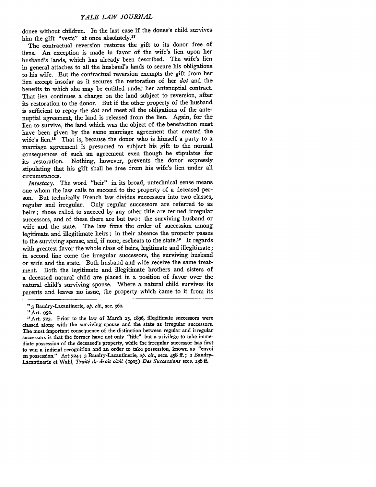donee without children. In the last case if the donee's child survives him the gift "vests" at once absolutely.<sup>17</sup>

The contractual reversion restores the gift to its donor free of liens. An exception is made in favor of the wife's lien upon her husband's lands, which has already been described. The wife's lien in general attaches to all the husband's lands to secure his obligations to his wife. But the contractual reversion exempts the gift from her lien except insofar as it secures the restoration of her *dot* and the benefits to which she may be entitled under her antenuptial contract. That lien continues a charge on the land subject to reversion, after its restoration to the donor. But if the other property of the husband is sufficient to repay the *dot* and meet all the obligations of the antenuptial agreement, the land is released from the lien. Again, for the lien to survive, the land which was the object of the benefaction must have been given by the same marriage agreement that created the wife's lien.<sup>18</sup> That is, because the donor who is himself a party to a marriage agreement is presumed to subject his gift to the normal consequences of such an agreement even though he stipulates for its restoration. Nothing, however, prevents the donor expressly stipulating that his gift shall be free from his wife's lien under all circumstances.

*Intestacy.* The word "heir" in its broad, untechnical sense means one whom the law calls to succeed to the property of a deceased person. But technically French law divides successors into two classes, regular and irregular. Only regular successors are referred to as heirs; those called to succeed **by** any other title are termed irregular successors, and of these there are but two: the surviving husband or wife and the state. The law fixes the order of succession among legitimate and illegitimate heirs; in their absence the property passes to the surviving spouse, and, if none, escheats to the state.<sup>19</sup> It regards with greatest favor the whole class of heirs, legitimate and illegitimate: in second line come the irregular successors, the surviving husband or wife and the state. Both husband and wife receive the same treatment. Both the legitimate and illegitimate brothers and sisters of a deceased natural child are placed in a position of favor over the natural child's surviving spouse. Where a natural child survives its parents and leaves no issue, the property which came to it from its

**<sup>3</sup>** Baudry-Lacantinerie, *op. cit.,* sec. 96o.

Art. **952.**

Art. **723.** Prior to the law of March **25,** 1896, illegitimate successors were classed along with the surviving spouse and the state as irregular successors. The most important consequence of the distinction between regular and irregular successors is that the former have not only "title" but a privilege to take immediate possession of the deceased's property, while the irregular successor has first to win a judicial recognition and an order to take possession, known as "envoi en possession." Art **724;** 3 Baudry-Lacantinerie, *op. cit.,* secs. 458 ff.; x Baudry-Lacantinerie et Wahl, *Traité de droit civil* (1905) *Des Successions* secs. 138 ff.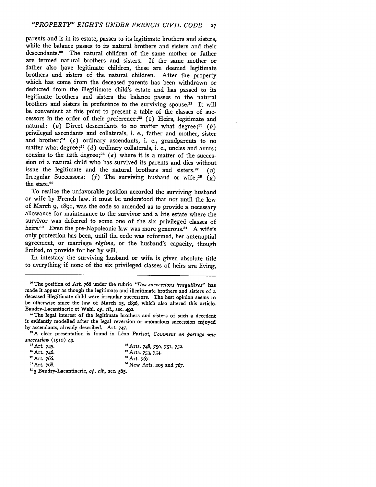parents and is in its estate, passes to its legitimate brothers and sisters, while the balance passes to its natural brothers and sisters and their descendants.<sup>20</sup> The natural children of the same mother or father are termed natural brothers and sisters. If the same mother or father also have legitimate children, these are deemed legitimate brothers and sisters of the natural children. After the property which has come from the deceased parents has been withdrawn or deducted from the illegitimate child's estate and has passed to its legitimate brothers and sisters the balance passes to the natural brothers and sisters in preference to the surviving spouse.21 It will be convenient at this point to present a table of the classes of successors in the order of their preference :22 **(I)** Heirs, legitimate and natural:  $(a)$  Direct descendants to no matter what degree;<sup>23</sup>  $(b)$ privileged ascendants and collaterals, i. e., father and mother, sister and brother; $24$  (c) ordinary ascendants, i. e., grandparents to no matter what degree;<sup>25</sup> (d) ordinary collaterals, i. e., uncles and aunts; cousins to the 12th degree **;26** *(e)* where it is a matter of the succession of a natural child who has survived its parents and dies without issue the legitimate and the natural brothers and sisters.<sup>27</sup> (2) Irregular Successors: (f) The surviving husband or wife;<sup>28</sup> (g) the state.<sup>29</sup>

To realize the unfavorable position accorded the surviving husband or wife by French law. it must be understood that not until the law of March 9, i89i, was the code so amended as to provide a necessary allowance for maintenance to the survivor and a life estate where the survivor was deferred to some one of the six privileged classes of heirs.<sup>30</sup> Even the pre-Napoleonic law was more generous.<sup>31</sup> A wife's only protection has been, until the code was reformed, her antenuptial agreement, or marriage *rigime,* or the husband's capacity, though limited, to provide for her by will.

In intestacy the surviving husband or wife is given absolute title to everything if none of the six privileged classes of heirs are living,

**<sup>&#</sup>x27;A** clear presentation is found in Leon Parisot, *Comment on partage une succession* **(1912)** 49.

| <sup>23</sup> Art. 745.                                  | <sup>24</sup> Arts. 748, 750, 751, 752. |
|----------------------------------------------------------|-----------------------------------------|
| <sup>25</sup> Art. 746.                                  | <sup>26</sup> Arts. 753, 754.           |
| <sup>27</sup> Art. 766.                                  | <sup>28</sup> Art. 767.                 |
| <sup>29</sup> Art. 768.                                  | <sup>30</sup> New Arts. 205 and 767.    |
| <sup>31</sup> 3 Baudry-Lacantinerie, op. cit., sec. 565. |                                         |

<sup>&</sup>lt;sup>20</sup> The position of Art. 766 under the rubric *"Des successions irregulières"* has made it appear as though the legitimate and illegitimate brothers and sisters of a deceased illegitimate child were irregular successors. The best opinion seems to be otherwise since the law of March **25,** 1896, which also altered this article. Baudry-Lacantinerie et Wahl, *op. cit.,* sec. **492.**

<sup>&</sup>lt;sup>21</sup> The legal interest of the legitimate brothers and sisters of such a decedent is evidently modelled after the legal reversion or anomalous succession enjoyed by ascendants, already described. Art. **747.**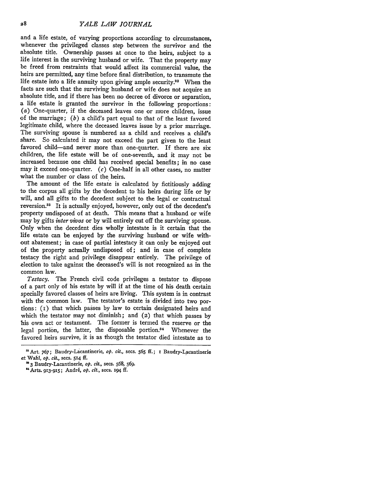and a life estate, of varying proportions according to circumstances, whenever the privileged classes step between the survivor and the absolute title. Ownership passes at once to the heirs, subject to a life interest in the surviving husband or wife. That the property may be freed from restraints that would affect its commercial value, the heirs are permitted, any time before final distribution, to transmute the life estate into a life annuity upon giving ample security.<sup>32</sup> When the facts are such that the surviving husband or wife does not acquire an absolute title, and if there has been no decree of divorce or separation, a life estate is granted the survivor in the following proportions: (a) One-quarter, if the deceased leaves one or more children, issue of the marriage; *(b)* a child's part equal to that of the least favored legitimate child, where the deceased leaves issue by a prior marriage. The surviving spouse is numbered as a child and receives a child's share. So calculated it may not exceed the part given to the least favored child-and never more than one-quarter. If there are six children, the life estate will be of one-seventh, and it may not be increased because one child has received special benefits; in no case may it exceed one-quarter.  $(c)$  One-half in all other cases, no matter what the number or class of the heirs.

The amount of the life estate is calculated by fictitiously adding to the corpus all gifts by the 'decedent to his heirs during life or **by** will, and all gifts to the decedent subject to the legal or contractual reversion.<sup>33</sup> It is actually enjoyed, however, only out of the decedent's property undisposed of at death. This means that a husband or wife may **by** gifts *inter vivos* or **by** will entirely cut off the surviving spouse. Only when the decedent dies wholly intestate is it certain that the life estate can be enjoyed **by** the surviving husband or wife without abatement; in case of partial intestacy it can only be enjoyed out of the property actually undisposed **of;** and in case of complete testacy the right and privilege disappear entirely. The privilege of election to take against the deceased's will is not recognized as in the common law.

*Testacy.* The French civil code privileges a testator to dispose of a part only of his estate by will if at the time of his death certain specially favored classes of heirs are living. This system is in contrast with the common law. The testator's estate is divided into two portions: (i) that which passes by law to certain designated heirs and which the testator may not diminish; and  $(2)$  that which passes by his own act or testament. The former is termed the reserve or the legal portion, the latter, the disposable portion.<sup>34</sup> Whenever the favored heirs survive, it is as though the testator died intestate as to

<sup>&</sup>lt;sup>22</sup> Art. 767; Baudry-Lacantinerie, *op. cit.*, secs. 565 ff.; *I* Baudry-Lacantinerie et Wahl, *op. cit.*, secs. 514 ff.

et Wahl, *op. cit.,* secs. 514 **ff. S3** Baudry-Lacantinerie, *op.* cit., secs. **568, 569.**

**<sup>&</sup>quot;** Arts. 913-95 ; Andr6, *op. cit.,* secs. **194 ff.**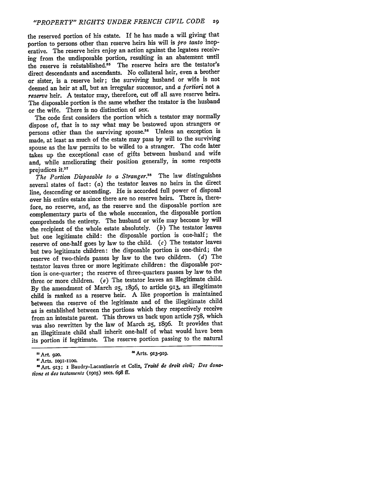the reserved portion of his estate. If he has made a will giving that portion to persons other than reserve heirs his will is *pro tanto* inoperative. The reserve heirs enjoy an action against the legatees receiving from the undisposable portion, resulting in an abatement until the reserve is reëstablished.<sup>85</sup> The reserve heirs are the testator's direct descendants and ascendants. No collateral heir, even a brother or sister, is a reserve heir; the surviving husband or wife is not deemed an heir at all, but an irregular successor, and a *fortiori* not a *reserve* heir. A testator may, therefore, cut off all save reserve heirs. The disposable portion is the same whether the testator is the husband or the wife. There is no distinction of sex.

The code first considers the portion which a testator may normally dispose of, that is to say what may be bestowed upon strangers or persons other than the surviving spouse.<sup>36</sup> Unless an exception is made, at least as much of the estate may pass by will to the surviving spouse as the law permits to be willed to a stranger. The code later takes up the exceptional case of gifts between husband and wife and, while ameliorating their position generally, in some respects prejudices **it.37**

*The Portion Disposable to a Stranger.8* The law distinguishes several states of fact: *(a)* the testator leaves no heirs in the direct line, descending or ascending. He is accorded full power of disposal over his entire estate since there are no reserve heirs. There is, therefore, no reserve, and, as the reserve and the disposable portion are complementary parts of the whole succession, the disposable portion comprehends the entirety. The husband or wife may become **by** will the recipient of the whole estate absolutely. *(b)* The testator leaves but one legitimate child: the disposable portion is one-half; the reserve of one-half goes **by** law to the child. *(c)* The testator leaves but two legitimate children: the disposable portion is one-third; the reserve of two-thirds passes **by** law to the two children. *(d)* The testator leaves three or more legitimate children: the disposable portion is one-quarter; the reserve of three-quarters passes **by** law to the three or more children. *(e)* The testator leaves an illegitimate child. **By** the amendment of March **25,** 1896, to article **913,** an illegitimate child is ranked as a reserve heir. **A** like proportion is maintained between the reserve of the legitimate and of the illegitimate child as is established between the portions which they respectively receive from an intestate parent. This throws us back upon article **758,** which was also rewritten **by** the law **of** March **25,** 1896. It provides that an illegitimate child shall inherit one-half of what would have been its portion if legitimate. The reserve portion passing to the natural

<sup>25</sup> Art. 920. **a** <sup>38</sup> Arts. 913-919.

<sup>&#</sup>x27;Arts. **io9-IIo0.** "Art. **913;** 1 Baudry-Lacantinerie et Colhn, *Traiti de droit civil; Des donations et des testaments* (19o5) secs. **698 ff.**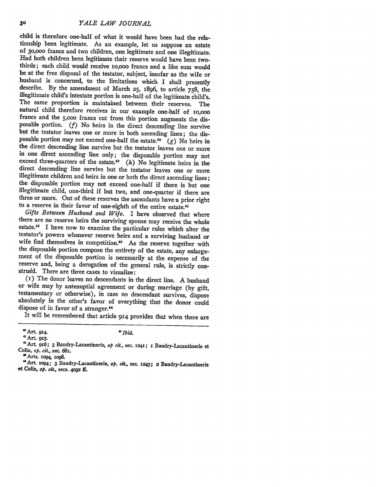child is therefore one-half of what it would have been had the relationship been legitimate. As an example, let us suppose an estate of 30,000 francs and two children, one legitimate and one illegitimate. Had both children been legitimate their reserve would have been twothirds; each child would receive io,ooo francs and a like sum would be at the free disposal of the testator, subject, insofar as the wife or husband is concerned, to the limitations which I shall presently describe. By the amendment of March 25, 1896, to article 758, the illegitimate child's intestate portion is one-half of the legitimate child's. The same proportion is maintained between their reserves. The natural child therefore receives in our example one-half of 10,000 francs and the **5,000** francs cut from this portion augments the disposable portion. (f) No heirs in the direct descending line survive but the testator leaves one or more in both ascending lines; the disposable portion may not exceed one-half the estate.<sup>39</sup>  $(g)$  No heirs in the direct descending line survive but the testator leaves one or more in one direct ascending line only; the disposable portion may not exceed three-quarters of the estate.<sup>40</sup> (h) No legitimate heirs in the direct descending line survive but the testator leaves one or more illegitimate children and heirs in one or both the direct ascending lines; the disposable portion may not exceed one-half if there is but one illegitimate child, one-third if but two, and one-quarter if there are three or more. Out of these reserves the ascendants have a prior right to a reserve in their favor of one-eighth of the entire estate.<sup>41</sup>

*Gifts Between Husband and Wife.* I have observed that where there are no reserve heirs the surviving spouse may receive the whole estate. 42 I have now to examine the particular rules which alter the testator's powers whenever reserve heirs and a surviving husband or wife find themselves in competition.<sup>43</sup> As the reserve together with the disposable portion compose the entirety of the estate, any enlargement of the disposable portion is necessarily at the expense of the reserve and, being a derogation of the general rule, is strictly construed. There are three cases to visualize:

(1) The donor leaves no descendants in the direct line. A husband<br>or wife may by antenuptial agreement or during marriage (by gift. testamentary or otherwise), in case no descendant survives, dispose absolutely in the other's favor of everything that the donor could dispose of in favor of a stranger.<sup>44</sup>

It will be remembered that article **914** provides that when there are

Art. **i4.** *Ibid.*

<sup>&</sup>quot;Ar. gS. **Art. 916; 3 Baudry-Lacantinerie,** *op cit.,* **sec. x241;** i **Baudry-Lacantinerie et Colin,** *op. cit.,* sec. **68r.**

**<sup>&</sup>quot;Arts. 094, 1o98.**

**<sup>&</sup>quot;Art. 1o94; 3** Baudry-Lacantinerie, *op. cit.,* **sec. x243; 2 Baudry-Lacantinerie et Colin,** *op. cit.,* secs. **4o32 ff.**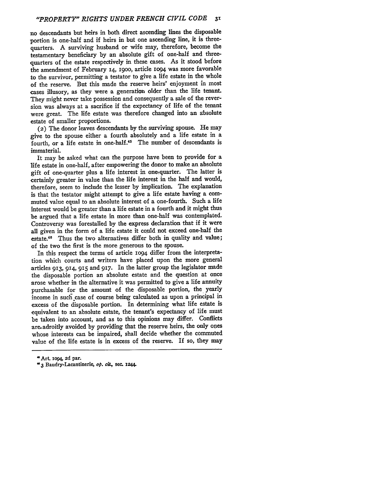no descendants but heirs in both direct ascending lines the disposable portion is one-half and if heirs in but one ascending line, it is threequarters. A surviving husband or wife may, therefore, become the testamentary beneficiary **by** an absolute gift of one-half and threequarters of the estate respectively in these cases. As it stood before the amendment of February 14, **19oo,** article **1094** was more favorable to the survivor, permitting a testator to give a life estate in the whole of the reserve. But this made the reserve heirs' enjoyment in most cases illusory, as they were a generation older than the life tenant. They might never take possession and consequently a sale of the reversion was always at a sacrifice if the expectancy of life of the tenant were great. The life estate was therefore changed into an absolute estate of smaller proportions.

(2) The donor leaves descendants **by** the surviving spouse. He may give to the spouse either a fourth absolutely and a life estate in a fourth, or a life estate in one-half.<sup>45</sup> The number of descendants is immaterial.

It may be asked what can the purpose have been to provide for a life estate in one-half, after empowering the donor to make an absolute gift of one-quarter plus a life interest in one-quarter. The latter is certainly greater in value than the life interest in the half and would, therefore, seem to include the lesser **by** implication. The explanation is that the testator might attempt to give a life estate having a commuted value equal to an absolute interest of a one-fourth. Such a life interest would be greater than a life estate in a fourth and it might thus be argued that a life estate in more than one-half was contemplated. Controversy was forestalled **by** the express declaration that if it were all given in the form of a life estate it could not exceed one-half the estate.<sup>46</sup> Thus the two alternatives differ both in quality and value; of the two the first is the more generous to the spouse.

In this respect the terms of article **1094** differ from the interpretation which courts and writers have placed upon the more general articles **913,** 914, **915** and **917.** In the latter group the legislator made the disposable portion an absolute estate and the question at once arose whether in the alternative it was permitted to give a life annuity purchasable for the amount of the disposable portion, the yearly income in such case of course being calculated as upon a principal in excess of the disposable portion. In determining what life estate is equivalent to an absolute estate, the tenant's expectancy of life must be taken into account, and as to this opinions may differ. Conflicts are-adroitly avoided **by** providing that the reserve heirs, the only ones whose interests can be impaired, shall decide whether the commuted value of the life estate is in excess of the reserve. If so, they may

**I** Art. **io94, 2d** par.

**<sup>43</sup>** Baudry-Lacantinerie, **op.** *cit.,* sec. 1244.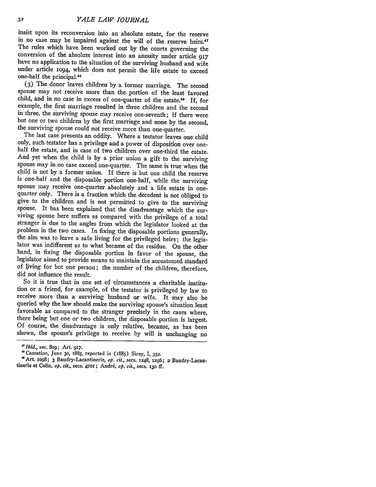insist upon its reconversion into an absolute estate, for the reserve in no case may be impaired against the will of the reserve heirs.<sup>47</sup> The rules which have been worked out by the courts governing the conversion of the absolute interest into an annuity under article **<sup>917</sup>** have no application to the situation of the surviving husband and wife under article **1094,** which does not permit the life estate to exceed one-half the principal.<sup>48</sup>

**(3)** The donor leaves children by a former marriage. The second spouse may not receive more than the portion of the least favored child, and in no case in excess of one-quarter of the estate.49 If, for example, the first marriage resulted in three children and the second in three, the surviving spouse may receive one-seventh; if there were but one or two children by the first marriage and none by the second, the surviving spouse could not receive more than one-quarter.

The last case presents an oddity. Where a testator leaves one child only, such testator has a privilege and a power of disposition over onehalf the estate, and in case of two children over one-third the estate. And yet when the child is by a prior union a gift to the surviving spouse may in no case exceed one-quarter. The same is true when the child is not by a former union. If there is but one child the reserve is one-half and the disposable portion one-half, while the surviving spouse may receive one-quarter absolutely and a life estate in onequarter only. There is a fraction which the decedent is not obliged to give to the children and is not permitted to give to the surviving spouse. It has been explained that the disadvantage which the surviving spouse here suffers as compared with the privilege of a total stranger is due to the angles from which the legislator looked at the problem in the two cases. In fixing the disposable portions generally, the aim was to leave a safe living for the privileged heirs; the legis- lator was indifferent as to what became of the residue. On the other hand, in fixing the disposable portion in favor of the spouse, the legislator aimed to provide means to maintain the accustomed standard of living for but one person; the number of the children, therefore, did not influence the result.

So it is true that in one set of circumstances a charitable institution or a friend, for example, of the testator is privileged by law to receive more than a surviving husband or wife. It may also be queried why the law should make.the surviving spouse's situation least favorable as compared to the stranger precisely in the cases where, there being but one or two children, the disposable portion is largest. Of course, the disadvantage is only relative, because, as has been shown, the spouse's privilege to receive by will is unchanging no

*<sup>&#</sup>x27;Ibid.,* sec. **8ig;** Art. **9i7.**

<sup>&</sup>quot;Cassation, June **30,** 1885, reported in (1885) Sirey, I, **352.**

<sup>&#</sup>x27;Art. **1098;** 3 Baudry-Lacantinerie, *op. cit.,* secs. 1248, 1256; 2 Baudry-Lacan- tinerie et **Colin,** *op. cit.,* secs. **47oi;** Andr6, *op. ci.,* secs. **130 ff.**